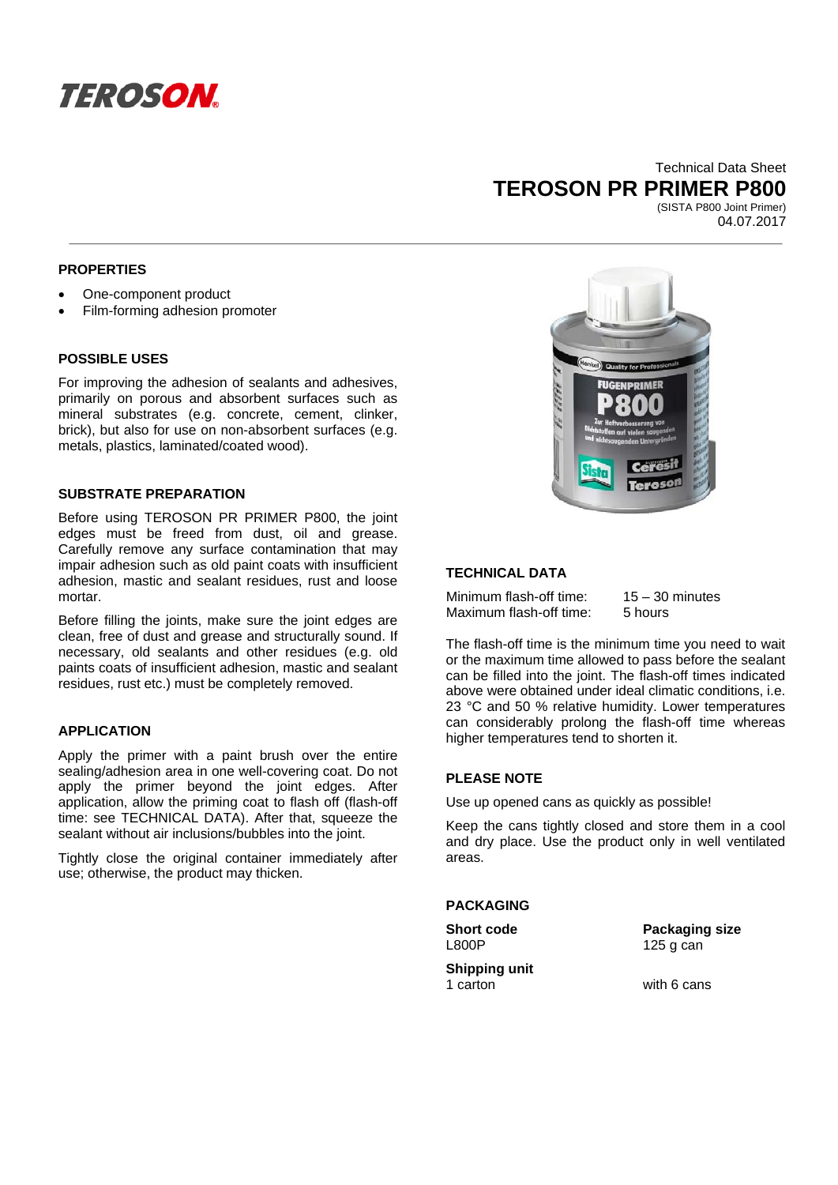

# Technical Data Sheet **TEROSON PR PRIMER P800**

(SISTA P800 Joint Primer) 04.07.2017

# **PROPERTIES**

- One-component product
- Film-forming adhesion promoter

## **POSSIBLE USES**

For improving the adhesion of sealants and adhesives, primarily on porous and absorbent surfaces such as mineral substrates (e.g. concrete, cement, clinker, brick), but also for use on non-absorbent surfaces (e.g. metals, plastics, laminated/coated wood).

## **SUBSTRATE PREPARATION**

Before using TEROSON PR PRIMER P800, the joint edges must be freed from dust, oil and grease. Carefully remove any surface contamination that may impair adhesion such as old paint coats with insufficient adhesion, mastic and sealant residues, rust and loose mortar.

Before filling the joints, make sure the joint edges are clean, free of dust and grease and structurally sound. If necessary, old sealants and other residues (e.g. old paints coats of insufficient adhesion, mastic and sealant residues, rust etc.) must be completely removed.

# **APPLICATION**

Apply the primer with a paint brush over the entire sealing/adhesion area in one well-covering coat. Do not apply the primer beyond the joint edges. After application, allow the priming coat to flash off (flash-off time: see TECHNICAL DATA). After that, squeeze the sealant without air inclusions/bubbles into the joint.

Tightly close the original container immediately after use; otherwise, the product may thicken.



## **TECHNICAL DATA**

Minimum flash-off time: 15 – 30 minutes Maximum flash-off time: 5 hours

The flash-off time is the minimum time you need to wait or the maximum time allowed to pass before the sealant can be filled into the joint. The flash-off times indicated above were obtained under ideal climatic conditions, i.e. 23 °C and 50 % relative humidity. Lower temperatures can considerably prolong the flash-off time whereas higher temperatures tend to shorten it.

# **PLEASE NOTE**

Use up opened cans as quickly as possible!

Keep the cans tightly closed and store them in a cool and dry place. Use the product only in well ventilated areas.

### **PACKAGING**

**Short code Communist Packaging size** L800P 125 g can **Shipping unit**  1 carton with 6 cans